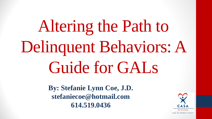Altering the Path to Delinquent Behaviors: A Guide for GALs

> **By: Stefanie Lynn Coe, J.D. stefaniecoe@hotmail.com 614.519.0436**



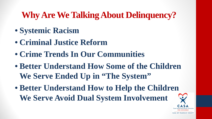### **Why Are We Talking About Delinquency?**

- **Systemic Racism**
- **Criminal Justice Reform**
- **Crime Trends In Our Communities**
- **Better Understand How Some of the Children We Serve Ended Up in "The System"**
- **Better Understand How to Help the Children We Serve Avoid Dual System Involvement**



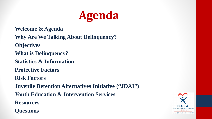

**Welcome & Agenda Why Are We Talking About Delinquency? Objectives What is Delinquency? Statistics & Information Protective Factors Risk Factors Juvenile Detention Alternatives Initiative ("JDAI") Youth Education & Intervention Services Resources Questions**

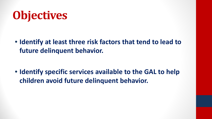# **Objectives**

• **Identify at least three risk factors that tend to lead to future delinquent behavior.**

• **Identify specific services available to the GAL to help children avoid future delinquent behavior.**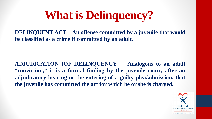**DELINQUENT ACT – An offense committed by a juvenile that would be classified as a crime if committed by an adult.**

**ADJUDICATION [OF DELINQUENCY] – Analogous to an adult "conviction," it is a formal finding by the juvenile court, after an adjudicatory hearing or the entering of a guilty plea/admission, that the juvenile has committed the act for which he or she is charged.**

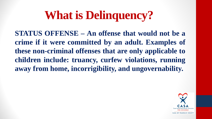**STATUS OFFENSE – An offense that would not be a crime if it were committed by an adult. Examples of these non-criminal offenses that are only applicable to children include: truancy, curfew violations, running away from home, incorrigibility, and ungovernability.**

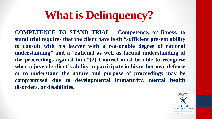**COMPETENCE TO STAND TRIAL – Competence, or fitness, to stand trial requires that the client have both "sufficient present ability to consult with his lawyer with a reasonable degree of rational understanding" and a "rational as well as factual understanding of the proceedings against him."[2] Counsel must be able to recognize when a juvenile client's ability to participate in his or her own defense or to understand the nature and purpose of proceedings may be compromised due to developmental immaturity, mental health disorders, or disabilities.**

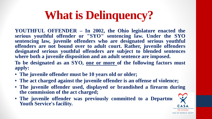**YOUTHFUL OFFENDER – In 2002, the Ohio legislature enacted the serious youthful offender or "SYO" sentencing law. Under the SYO sentencing law, juvenile offenders who are designated serious youthful offenders are not bound over to adult court. Rather, juvenile offenders designated serious youthful offenders are subject to blended sentences where both a juvenile disposition and an adult sentence are imposed. To be designated as an SYO, one or more of the following factors must apply:**

- **The juvenile offender must be 10 years old or older;**
- **The act charged against the juvenile offender is an offense of violence;**
- **The juvenile offender used, displayed or brandished a firearm during the commission of the act charged;**
- The juvenile offender was previously committed to a Department **Youth Service's facility.**





CASA OF FRANKLIN COUNTY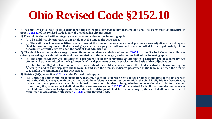## **Ohio Revised Code §2152.10**

- (A) A child who is alleged to be a delinquent child is eligible for mandatory transfer and shall be transferred as provided in **section [2152.12](https://codes.ohio.gov/ohio-revised-code/section-2152.12) of the Revised Code in any of the following circumstances:**
- **(1) The child is charged with a category one offense and either of the following apply:**
	- **(a) The child was sixteen years of age or older at the time of the act charged.**
	- (b) The child was fourteen or fifteen years of age at the time of the act charged and previously was adjudicated a delinquent child for committing an act that is a category one or category two offense and was committed to the legal custody of the **department of youth services upon the basis of that adjudication.**
- (2) The child is charged with a category two offense, other than a violation of section [2905.01](https://codes.ohio.gov/ohio-revised-code/section-2905.01) of the Revised Code, the child was sixteen vears of age or older at the time of the commission of the act charged, and either  $\overline{or}$  both of the following apply:
	- (a) The child previously was adjudicated a delinquent child for committing an act that is a category one or a category two offense and was committed to the legal custody of the department of youth services on the basis of that adjudication.
	- (b) The child is alleged to have had a firearm on or about the child's person or under the child's control while committing the act charged and to have displayed the firearm, brandished the firearm, indicated possession of the firearm, or used the firearm **to facilitate the commission of the act charged.**
- **(3) Division (A)(2) of section [2152.12](https://codes.ohio.gov/ohio-revised-code/section-2152.12) of the Revised Code applies.**
	- (B) Unless the child is subject to mandatory transfer, if a child is fourteen years of age or older at the time of the act charged and if the child is charged with an act that would be a felony if committed by an adult, the child is eligible for discretionary transfer to the appropriate court for criminal prosecution. In determining whether to transfer the child for criminal prosecution, the juvenile court shall follow the procedures in section [2152.12](https://codes.ohio.gov/ohio-revised-code/section-2152.12) of the Revised Code. If the court does not transfer the child and if the court adjudicates the child to be a delinquent child for the act charged, the court shall issue an order of **disposition in accordance with section [2152.11](https://codes.ohio.gov/ohio-revised-code/section-2152.11) of the Revised Code.**

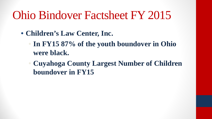## Ohio Bindover Factsheet FY 2015

- **Children's Law Center, Inc.** 
	- **In FY15 87% of the youth boundover in Ohio were black.**
	- **Cuyahoga County Largest Number of Children boundover in FY15**

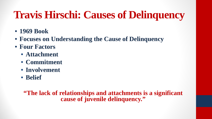### **Travis Hirschi: Causes of Delinquency**

- **1969 Book**
- **Focuses on Understanding the Cause of Delinquency**
- **Four Factors**
	- **Attachment**
	- **Commitment**
	- **Involvement**
	- **Belief**

**"The lack of relationships and attachments is a significant cause of juvenile delinquency."**





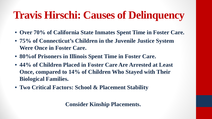### **Travis Hirschi: Causes of Delinquency**

- **Over 70% of California State Inmates Spent Time in Foster Care.**
- **75% of Connecticut's Children in the Juvenile Justice System Were Once in Foster Care.**
- **80%of Prisoners in Illinois Spent Time in Foster Care.**
- **44% of Children Placed in Foster Care Are Arrested at Least Once, compared to 14% of Children Who Stayed with Their Biological Families.**
- **Two Critical Factors: School & Placement Stability**

**Consider Kinship Placements.** 

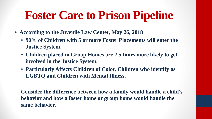## **Foster Care to Prison Pipeline**

- **According to the Juvenile Law Center, May 26, 2018**
	- **90% of Children with 5 or more Foster Placements will enter the Justice System.**
	- **Children placed in Group Homes are 2.5 times more likely to get involved in the Justice System.**
	- **Particularly Affects Children of Color, Children who identify as LGBTQ and Children with Mental Illness.**

**Consider the difference between how a family would handle a child's behavior and how a foster home or group home would handle the same behavior.** 



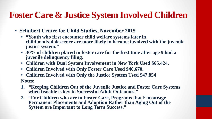### **Foster Care & Justice System Involved Children**

- **Schubert Center for Child Studies, November 2015**
	- **"Youth who first encounter child welfare systems later in childhood/adolescence are more likely to become involved with the juvenile justice system."**
	- **30% of children placed in foster care for the first time after age 9 had a juvenile delinquency filing.**
	- **Children with Dual System Involvement in New York Used \$65,424.**
	- **Children Involved with Only Foster Care Used \$46,670.**
	- **Children Involved with Only the Justice System Used \$47,854 Notes:**
	- **1. "Keeping Children Out of the Juvenile Justice and Foster Care Systems when feasible is key to Successful Adult Outcomes."**
	- **2. "For Children who are in Foster Care, Programs that Encourage Permanent Placements and Adoption Rather than Aging Out of the System are Important to Long Term Success."**

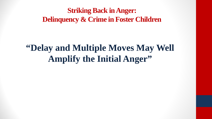### **Striking Back in Anger: Delinquency & Crime in Foster Children**

### **"Delay and Multiple Moves May Well Amplify the Initial Anger"**

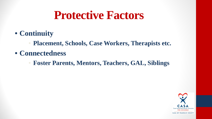### **Protective Factors**

- **Continuity**
	- **Placement, Schools, Case Workers, Therapists etc.**
- **Connectedness**
	- **Foster Parents, Mentors, Teachers, GAL, Siblings**





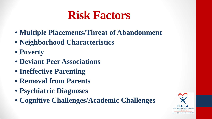## **Risk Factors**

- **Multiple Placements/Threat of Abandonment**
- **Neighborhood Characteristics**
- **Poverty**
- **Deviant Peer Associations**
- **Ineffective Parenting**
- **Removal from Parents**
- **Psychiatric Diagnoses**
- **Cognitive Challenges/Academic Challenges**

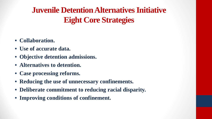### **Juvenile Detention Alternatives Initiative Eight Core Strategies**

- **Collaboration.**
- **Use of accurate data.**
- **Objective detention admissions.**
- **Alternatives to detention.**
- **Case processing reforms.**
- **Reducing the use of unnecessary confinements.**
- **Deliberate commitment to reducing racial disparity.**
- **Improving conditions of confinement.**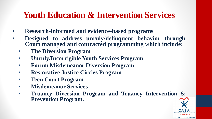### **Youth Education & Intervention Services**

- **Research-informed and evidence-based programs**
- **Designed to address unruly/delinquent behavior through Court managed and contracted programming which include:**
	- **The Diversion Program**
	- **Unruly/Incorrigible Youth Services Program**
	- **Forum Misdemeanor Diversion Program**
	- **Restorative Justice Circles Program**
	- **Teen Court Program**
	- **Misdemeanor Services**
	- **Truancy Diversion Program and Truancy Intervention & Prevention Program.**



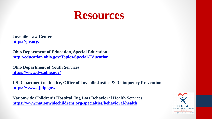

**Juvenile Law Center <https://jlc.org/>**

**Ohio Department of Education, Special Education <http://education.ohio.gov/Topics/Special-Education>**

**Ohio Department of Youth Services <https://www.dys.ohio.gov/>**

**US Department of Justice, Office of Juvenile Justice & Delinquency Prevention <https://www.ojjdp.gov/>**

**Nationwide Children's Hospital, Big Lots Behavioral Health Services <https://www.nationwidechildrens.org/specialties/behavioral-health>**

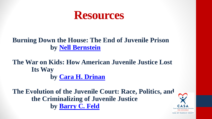

### **Burning Down the House: The End of Juvenile Prison by [Nell Bernstein](https://www.amazon.com/Nell-Bernstein/e/B00IWQM0WA/ref=dp_byline_cont_book_1)**

### **The War on Kids: How American Juvenile Justice Lost Its Way by [Cara H. Drinan](https://www.amazon.com/s/ref=dp_byline_sr_book_1?ie=UTF8&field-author=Cara+H.+Drinan&text=Cara+H.+Drinan&sort=relevancerank&search-alias=books)**

**The Evolution of the Juvenile Court: Race, Politics, and the Criminalizing of Juvenile Justice by [Barry C. Feld](https://www.amazon.com/Barry-C-Feld/e/B07FCTGNX7/ref=dp_byline_cont_book_1)**